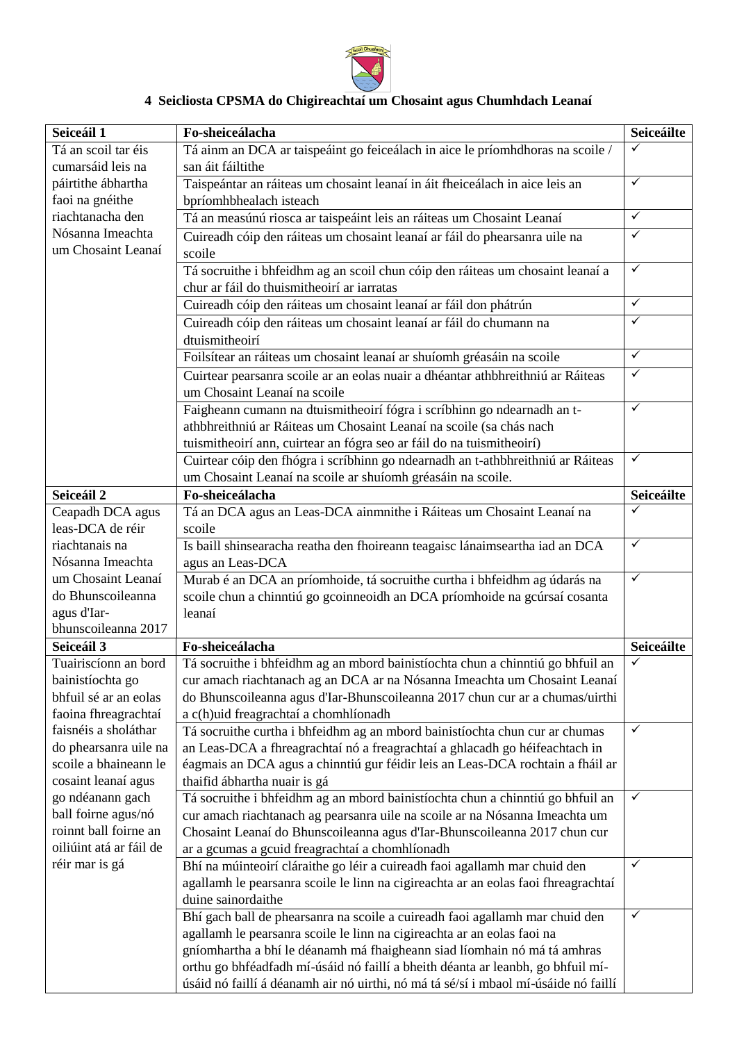

## **4 Seicliosta CPSMA do Chigireachtaí um Chosaint agus Chumhdach Leanaí**

| Seiceáil 1                                | Fo-sheiceálacha                                                                                                              | Seiceáilte      |
|-------------------------------------------|------------------------------------------------------------------------------------------------------------------------------|-----------------|
| Tá an scoil tar éis                       | Tá ainm an DCA ar taispeáint go feiceálach in aice le príomhdhoras na scoile /                                               | ✓               |
| cumarsáid leis na                         | san áit fáiltithe                                                                                                            |                 |
| páirtithe ábhartha                        | Taispeántar an ráiteas um chosaint leanaí in áit fheiceálach in aice leis an                                                 | $\checkmark$    |
| faoi na gnéithe                           | bpríomhbhealach isteach                                                                                                      |                 |
| riachtanacha den                          | Tá an measúnú riosca ar taispeáint leis an ráiteas um Chosaint Leanaí                                                        | $\checkmark$    |
| Nósanna Imeachta                          | Cuireadh cóip den ráiteas um chosaint leanaí ar fáil do phearsanra uile na                                                   | $\checkmark$    |
| um Chosaint Leanaí                        | scoile                                                                                                                       |                 |
|                                           | Tá socruithe i bhfeidhm ag an scoil chun cóip den ráiteas um chosaint leanaí a<br>chur ar fáil do thuismitheoirí ar iarratas | $\checkmark$    |
|                                           | Cuireadh cóip den ráiteas um chosaint leanaí ar fáil don phátrún                                                             | $\checkmark$    |
|                                           | Cuireadh cóip den ráiteas um chosaint leanaí ar fáil do chumann na                                                           | $\checkmark$    |
|                                           | dtuismitheoirí                                                                                                               |                 |
|                                           | Foilsítear an ráiteas um chosaint leanaí ar shuíomh gréasáin na scoile                                                       | $\checkmark$    |
|                                           | Cuirtear pearsanra scoile ar an eolas nuair a dhéantar athbhreithniú ar Ráiteas                                              | $\checkmark$    |
|                                           | um Chosaint Leanaí na scoile                                                                                                 |                 |
|                                           | Faigheann cumann na dtuismitheoirí fógra i scríbhinn go ndearnadh an t-                                                      | $\checkmark$    |
|                                           | athbhreithniú ar Ráiteas um Chosaint Leanaí na scoile (sa chás nach                                                          |                 |
|                                           | tuismitheoirí ann, cuirtear an fógra seo ar fáil do na tuismitheoirí)                                                        |                 |
|                                           | Cuirtear cóip den fhógra i scríbhinn go ndearnadh an t-athbhreithniú ar Ráiteas                                              | $\checkmark$    |
|                                           | um Chosaint Leanaí na scoile ar shuíomh gréasáin na scoile.                                                                  |                 |
| Seiceáil 2                                | Fo-sheiceálacha                                                                                                              | Seiceáilte      |
| Ceapadh DCA agus                          | Tá an DCA agus an Leas-DCA ainmnithe i Ráiteas um Chosaint Leanaí na                                                         | ✓               |
| leas-DCA de réir                          | scoile                                                                                                                       |                 |
| riachtanais na                            | Is baill shinsearacha reatha den fhoireann teagaisc lánaimseartha iad an DCA                                                 | $\checkmark$    |
| Nósanna Imeachta                          | agus an Leas-DCA                                                                                                             |                 |
| um Chosaint Leanaí                        | Murab é an DCA an príomhoide, tá socruithe curtha i bhfeidhm ag údarás na                                                    | $\checkmark$    |
| do Bhunscoileanna                         | scoile chun a chinntiú go gcoinneoidh an DCA príomhoide na gcúrsaí cosanta                                                   |                 |
| agus d'Iar-                               | leanaí                                                                                                                       |                 |
| bhunscoileanna 2017                       |                                                                                                                              |                 |
| Seiceáil 3                                | Fo-sheiceálacha                                                                                                              | Seiceáilte<br>✓ |
| Tuairiscíonn an bord                      | Tá socruithe i bhfeidhm ag an mbord bainistíochta chun a chinntiú go bhfuil an                                               |                 |
| bainistíochta go<br>bhfuil sé ar an eolas | cur amach riachtanach ag an DCA ar na Nósanna Imeachta um Chosaint Leanaí                                                    |                 |
| faoina fhreagrachtaí                      | do Bhunscoileanna agus d'Iar-Bhunscoileanna 2017 chun cur ar a chumas/uirthi<br>a c(h)uid freagrachtaí a chomhlíonadh        |                 |
| faisnéis a sholáthar                      | Tá socruithe curtha i bhfeidhm ag an mbord bainistíochta chun cur ar chumas                                                  | ✓               |
| do phearsanra uile na                     | an Leas-DCA a fhreagrachtaí nó a freagrachtaí a ghlacadh go héifeachtach in                                                  |                 |
| scoile a bhaineann le                     | éagmais an DCA agus a chinntiú gur féidir leis an Leas-DCA rochtain a fháil ar                                               |                 |
| cosaint leanaí agus                       | thaifid ábhartha nuair is gá                                                                                                 |                 |
| go ndéanann gach                          | Tá socruithe i bhfeidhm ag an mbord bainistíochta chun a chinntiú go bhfuil an                                               | $\checkmark$    |
| ball foirne agus/nó                       | cur amach riachtanach ag pearsanra uile na scoile ar na Nósanna Imeachta um                                                  |                 |
| roinnt ball foirne an                     | Chosaint Leanaí do Bhunscoileanna agus d'Iar-Bhunscoileanna 2017 chun cur                                                    |                 |
| oiliúint atá ar fáil de                   | ar a gcumas a gcuid freagrachtaí a chomhlíonadh                                                                              |                 |
| réir mar is gá                            | Bhí na múinteoirí cláraithe go léir a cuireadh faoi agallamh mar chuid den                                                   | ✓               |
|                                           | agallamh le pearsanra scoile le linn na cigireachta ar an eolas faoi fhreagrachtaí                                           |                 |
|                                           | duine sainordaithe                                                                                                           |                 |
|                                           | Bhí gach ball de phearsanra na scoile a cuireadh faoi agallamh mar chuid den                                                 | ✓               |
|                                           | agallamh le pearsanra scoile le linn na cigireachta ar an eolas faoi na                                                      |                 |
|                                           | gníomhartha a bhí le déanamh má fhaigheann siad líomhain nó má tá amhras                                                     |                 |
|                                           | orthu go bhféadfadh mí-úsáid nó faillí a bheith déanta ar leanbh, go bhfuil mí-                                              |                 |
|                                           | úsáid nó faillí á déanamh air nó uirthi, nó má tá sé/sí i mbaol mí-úsáide nó faillí                                          |                 |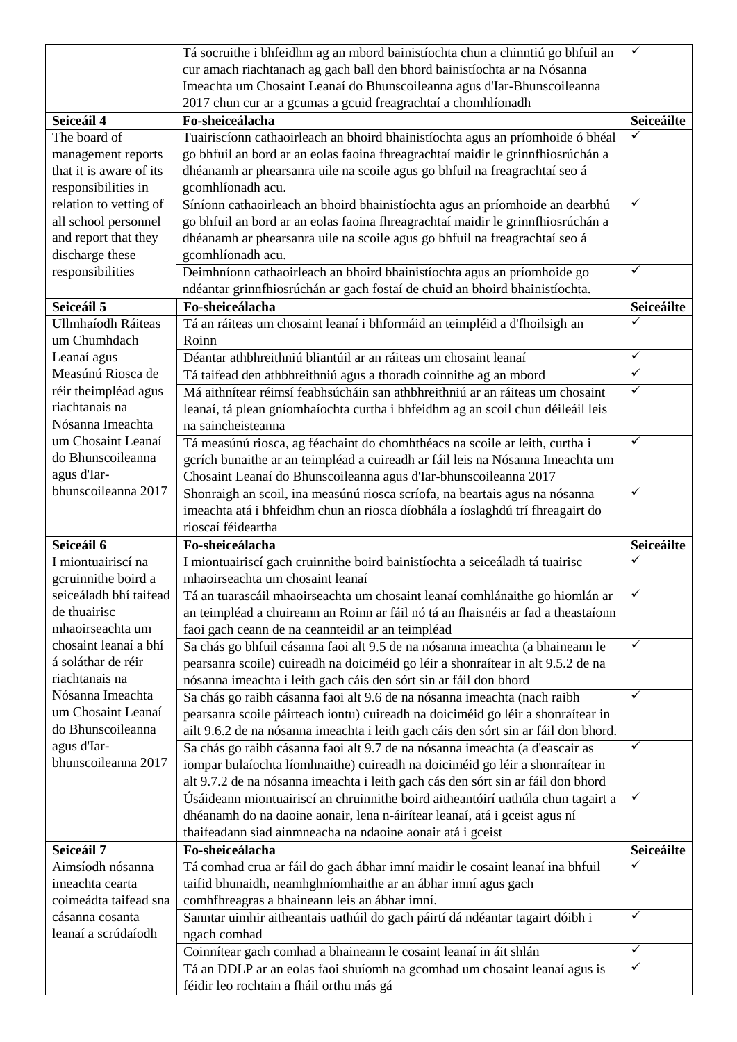|                           | Tá socruithe i bhfeidhm ag an mbord bainistíochta chun a chinntiú go bhfuil an      | ✓            |
|---------------------------|-------------------------------------------------------------------------------------|--------------|
|                           | cur amach riachtanach ag gach ball den bhord bainistíochta ar na Nósanna            |              |
|                           | Imeachta um Chosaint Leanaí do Bhunscoileanna agus d'Iar-Bhunscoileanna             |              |
|                           | 2017 chun cur ar a gcumas a gcuid freagrachtaí a chomhlíonadh                       |              |
| Seiceáil 4                | Fo-sheiceálacha                                                                     | Seiceáilte   |
| The board of              | Tuairiscíonn cathaoirleach an bhoird bhainistíochta agus an príomhoide ó bhéal      | ✓            |
| management reports        | go bhfuil an bord ar an eolas faoina fhreagrachtaí maidir le grinnfhiosrúchán a     |              |
| that it is aware of its   | dhéanamh ar phearsanra uile na scoile agus go bhfuil na freagrachtaí seo á          |              |
| responsibilities in       | gcomhlíonadh acu.                                                                   |              |
| relation to vetting of    | Síníonn cathaoirleach an bhoird bhainistíochta agus an príomhoide an dearbhú        | ✓            |
| all school personnel      | go bhfuil an bord ar an eolas faoina fhreagrachtaí maidir le grinnfhiosrúchán a     |              |
| and report that they      | dhéanamh ar phearsanra uile na scoile agus go bhfuil na freagrachtaí seo á          |              |
| discharge these           | gcomhlíonadh acu.                                                                   |              |
| responsibilities          | Deimhníonn cathaoirleach an bhoird bhainistíochta agus an príomhoide go             | $\checkmark$ |
|                           | ndéantar grinnfhiosrúchán ar gach fostaí de chuid an bhoird bhainistíochta.         |              |
| Seiceáil 5                | Fo-sheiceálacha                                                                     | Seiceáilte   |
| <b>Ullmhaíodh Ráiteas</b> | Tá an ráiteas um chosaint leanaí i bhformáid an teimpléid a d'fhoilsigh an          | ✓            |
| um Chumhdach              | Roinn                                                                               |              |
|                           | Déantar athbhreithniú bliantúil ar an ráiteas um chosaint leanaí                    | $\checkmark$ |
| Leanaí agus               |                                                                                     | $\checkmark$ |
| Measúnú Riosca de         | Tá taifead den athbhreithniú agus a thoradh coinnithe ag an mbord                   |              |
| réir theimpléad agus      | Má aithnítear réimsí feabhsúcháin san athbhreithniú ar an ráiteas um chosaint       | $\checkmark$ |
| riachtanais na            | leanaí, tá plean gníomhaíochta curtha i bhfeidhm ag an scoil chun déileáil leis     |              |
| Nósanna Imeachta          | na saincheisteanna                                                                  |              |
| um Chosaint Leanaí        | Tá measúnú riosca, ag féachaint do chomhthéacs na scoile ar leith, curtha i         | $\checkmark$ |
| do Bhunscoileanna         | gcrích bunaithe ar an teimpléad a cuireadh ar fáil leis na Nósanna Imeachta um      |              |
| agus d'Iar-               | Chosaint Leanaí do Bhunscoileanna agus d'Iar-bhunscoileanna 2017                    |              |
| bhunscoileanna 2017       | Shonraigh an scoil, ina measúnú riosca scríofa, na beartais agus na nósanna         | $\checkmark$ |
|                           | imeachta atá i bhfeidhm chun an riosca díobhála a íoslaghdú trí fhreagairt do       |              |
|                           |                                                                                     |              |
|                           | rioscaí féideartha                                                                  |              |
| Seiceáil 6                | Fo-sheiceálacha                                                                     | Seiceáilte   |
| I miontuairiscí na        | I miontuairiscí gach cruinnithe boird bainistíochta a seiceáladh tá tuairisc        | ✓            |
| gcruinnithe boird a       | mhaoirseachta um chosaint leanaí                                                    |              |
| seiceáladh bhí taifead    | Tá an tuarascáil mhaoirseachta um chosaint leanaí comhlánaithe go hiomlán ar        | $\checkmark$ |
| de thuairisc              | an teimpléad a chuireann an Roinn ar fáil nó tá an fhaisnéis ar fad a theastaíonn   |              |
| mhaoirseachta um          | faoi gach ceann de na ceannteidil ar an teimpléad                                   |              |
| chosaint leanaí a bhí     | Sa chás go bhfuil cásanna faoi alt 9.5 de na nósanna imeachta (a bhaineann le       | ✓            |
| á soláthar de réir        | pearsanra scoile) cuireadh na doiciméid go léir a shonraítear in alt 9.5.2 de na    |              |
| riachtanais na            | nósanna imeachta i leith gach cáis den sórt sin ar fáil don bhord                   |              |
| Nósanna Imeachta          | Sa chás go raibh cásanna faoi alt 9.6 de na nósanna imeachta (nach raibh            | $\checkmark$ |
| um Chosaint Leanaí        | pearsanra scoile páirteach iontu) cuireadh na doiciméid go léir a shonraítear in    |              |
| do Bhunscoileanna         | ailt 9.6.2 de na nósanna imeachta i leith gach cáis den sórt sin ar fáil don bhord. |              |
| agus d'Iar-               | Sa chás go raibh cásanna faoi alt 9.7 de na nósanna imeachta (a d'eascair as        | $\checkmark$ |
| bhunscoileanna 2017       | iompar bulaíochta líomhnaithe) cuireadh na doiciméid go léir a shonraítear in       |              |
|                           | alt 9.7.2 de na nósanna imeachta i leith gach cás den sórt sin ar fáil don bhord    |              |
|                           | Úsáideann miontuairiscí an chruinnithe boird aitheantóirí uathúla chun tagairt a    | $\checkmark$ |
|                           | dhéanamh do na daoine aonair, lena n-áirítear leanaí, atá i gceist agus ní          |              |
|                           | thaifeadann siad ainmneacha na ndaoine aonair atá i gceist                          |              |
| Seiceáil 7                | Fo-sheiceálacha                                                                     | Seiceáilte   |
| Aimsíodh nósanna          | Tá comhad crua ar fáil do gach ábhar imní maidir le cosaint leanaí ina bhfuil       | $\checkmark$ |
| imeachta cearta           | taifid bhunaidh, neamhghníomhaithe ar an ábhar imní agus gach                       |              |
| coimeádta taifead sna     | comhfhreagras a bhaineann leis an ábhar imní.                                       |              |
| cásanna cosanta           | Sanntar uimhir aitheantais uathúil do gach páirtí dá ndéantar tagairt dóibh i       | ✓            |
| leanaí a scrúdaíodh       | ngach comhad                                                                        |              |
|                           | Coinnítear gach comhad a bhaineann le cosaint leanaí in áit shlán                   | $\checkmark$ |
|                           | Tá an DDLP ar an eolas faoi shuíomh na gcomhad um chosaint leanaí agus is           | $\checkmark$ |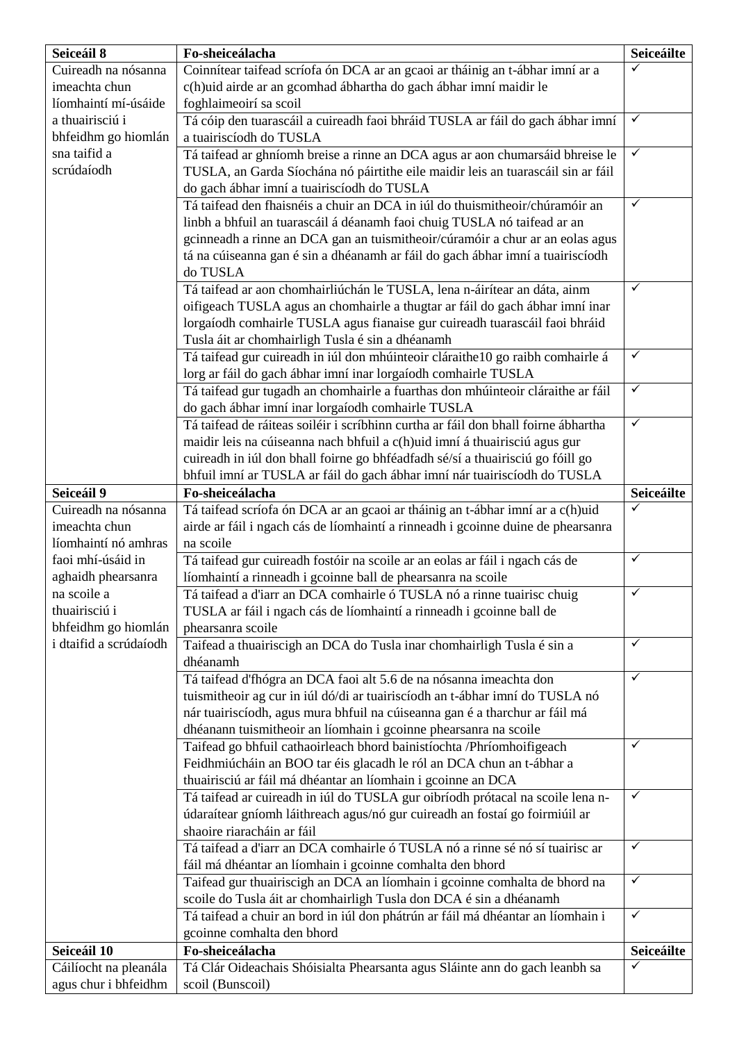| Seiceáil 8             | Fo-sheiceálacha                                                                              | Seiceáilte   |
|------------------------|----------------------------------------------------------------------------------------------|--------------|
| Cuireadh na nósanna    | Coinnítear taifead scríofa ón DCA ar an gcaoi ar tháinig an t-ábhar imní ar a                |              |
| imeachta chun          | c(h)uid airde ar an gcomhad ábhartha do gach ábhar imní maidir le                            |              |
| líomhaintí mí-úsáide   | foghlaimeoirí sa scoil                                                                       |              |
| a thuairisciú i        | Tá cóip den tuarascáil a cuireadh faoi bhráid TUSLA ar fáil do gach ábhar imní               | $\checkmark$ |
| bhfeidhm go hiomlán    | a tuairiscíodh do TUSLA                                                                      |              |
| sna taifid a           | Tá taifead ar ghníomh breise a rinne an DCA agus ar aon chumarsáid bhreise le                | $\checkmark$ |
| scrúdaíodh             | TUSLA, an Garda Síochána nó páirtithe eile maidir leis an tuarascáil sin ar fáil             |              |
|                        | do gach ábhar imní a tuairiscíodh do TUSLA                                                   |              |
|                        | Tá taifead den fhaisnéis a chuir an DCA in iúl do thuismitheoir/chúramóir an                 | ✓            |
|                        | linbh a bhfuil an tuarascáil á déanamh faoi chuig TUSLA nó taifead ar an                     |              |
|                        | gcinneadh a rinne an DCA gan an tuismitheoir/cúramóir a chur ar an eolas agus                |              |
|                        | tá na cúiseanna gan é sin a dhéanamh ar fáil do gach ábhar imní a tuairiscíodh               |              |
|                        | do TUSLA                                                                                     |              |
|                        | Tá taifead ar aon chomhairliúchán le TUSLA, lena n-áirítear an dáta, ainm                    | $\checkmark$ |
|                        | oifigeach TUSLA agus an chomhairle a thugtar ar fáil do gach ábhar imní inar                 |              |
|                        | lorgaíodh comhairle TUSLA agus fianaise gur cuireadh tuarascáil faoi bhráid                  |              |
|                        | Tusla áit ar chomhairligh Tusla é sin a dhéanamh                                             | $\checkmark$ |
|                        | Tá taifead gur cuireadh in iúl don mhúinteoir cláraithe 10 go raibh comhairle á              |              |
|                        | lorg ar fáil do gach ábhar imní inar lorgaíodh comhairle TUSLA                               | $\checkmark$ |
|                        | Tá taifead gur tugadh an chomhairle a fuarthas don mhúinteoir cláraithe ar fáil              |              |
|                        | do gach ábhar imní inar lorgaíodh comhairle TUSLA                                            | $\checkmark$ |
|                        | Tá taifead de ráiteas soiléir i scríbhinn curtha ar fáil don bhall foirne ábhartha           |              |
|                        | maidir leis na cúiseanna nach bhfuil a c(h)uid imní á thuairisciú agus gur                   |              |
|                        | cuireadh in iúl don bhall foirne go bhféadfadh sé/sí a thuairisciú go fóill go               |              |
| Seiceáil 9             | bhfuil imní ar TUSLA ar fáil do gach ábhar imní nár tuairiscíodh do TUSLA<br>Fo-sheiceálacha | Seiceáilte   |
| Cuireadh na nósanna    | Tá taifead scríofa ón DCA ar an gcaoi ar tháinig an t-ábhar imní ar a c(h)uid                |              |
| imeachta chun          | airde ar fáil i ngach cás de líomhaintí a rinneadh i gcoinne duine de phearsanra             |              |
| líomhaintí nó amhras   | na scoile                                                                                    |              |
| faoi mhí-úsáid in      | Tá taifead gur cuireadh fostóir na scoile ar an eolas ar fáil i ngach cás de                 | $\checkmark$ |
| aghaidh phearsanra     | líomhaintí a rinneadh i gcoinne ball de phearsanra na scoile                                 |              |
| na scoile a            | Tá taifead a d'iarr an DCA comhairle ó TUSLA nó a rinne tuairisc chuig                       | $\checkmark$ |
| thuairisciú i          | TUSLA ar fáil i ngach cás de líomhaintí a rinneadh i gcoinne ball de                         |              |
| bhfeidhm go hiomlán    | phearsanra scoile                                                                            |              |
| i dtaifid a scrúdaíodh | Taifead a thuairiscigh an DCA do Tusla inar chomhairligh Tusla é sin a                       | $\checkmark$ |
|                        | dhéanamh                                                                                     |              |
|                        | Tá taifead d'fhógra an DCA faoi alt 5.6 de na nósanna imeachta don                           | $\checkmark$ |
|                        | tuismitheoir ag cur in iúl dó/di ar tuairiscíodh an t-ábhar imní do TUSLA nó                 |              |
|                        | nár tuairiscíodh, agus mura bhfuil na cúiseanna gan é a tharchur ar fáil má                  |              |
|                        | dhéanann tuismitheoir an líomhain i gcoinne phearsanra na scoile                             |              |
|                        | Taifead go bhfuil cathaoirleach bhord bainistíochta /Phríomhoifigeach                        | ✓            |
|                        | Feidhmiúcháin an BOO tar éis glacadh le ról an DCA chun an t-ábhar a                         |              |
|                        | thuairisciú ar fáil má dhéantar an líomhain i gcoinne an DCA                                 |              |
|                        | Tá taifead ar cuireadh in iúl do TUSLA gur oibríodh prótacal na scoile lena n-               | $\checkmark$ |
|                        | údaraítear gníomh láithreach agus/nó gur cuireadh an fostaí go foirmiúil ar                  |              |
|                        | shaoire riaracháin ar fáil                                                                   |              |
|                        | Tá taifead a d'iarr an DCA comhairle ó TUSLA nó a rinne sé nó sí tuairisc ar                 | $\checkmark$ |
|                        | fáil má dhéantar an líomhain i gcoinne comhalta den bhord                                    |              |
|                        | Taifead gur thuairiscigh an DCA an líomhain i gcoinne comhalta de bhord na                   | $\checkmark$ |
|                        | scoile do Tusla áit ar chomhairligh Tusla don DCA é sin a dhéanamh                           |              |
|                        | Tá taifead a chuir an bord in iúl don phátrún ar fáil má dhéantar an líomhain i              | $\checkmark$ |
|                        | gcoinne comhalta den bhord                                                                   |              |
| Seiceáil 10            | Fo-sheiceálacha                                                                              | Seiceáilte   |
| Cáilíocht na pleanála  | Tá Clár Oideachais Shóisialta Phearsanta agus Sláinte ann do gach leanbh sa                  | $\checkmark$ |
| agus chur i bhfeidhm   | scoil (Bunscoil)                                                                             |              |